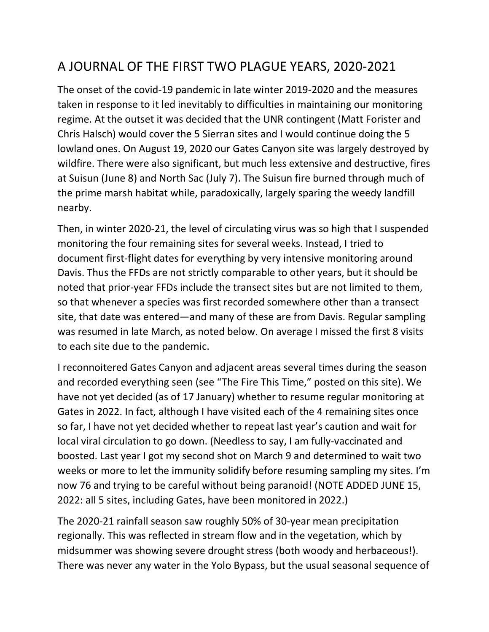## A JOURNAL OF THE FIRST TWO PLAGUE YEARS, 2020-2021

The onset of the covid-19 pandemic in late winter 2019-2020 and the measures taken in response to it led inevitably to difficulties in maintaining our monitoring regime. At the outset it was decided that the UNR contingent (Matt Forister and Chris Halsch) would cover the 5 Sierran sites and I would continue doing the 5 lowland ones. On August 19, 2020 our Gates Canyon site was largely destroyed by wildfire. There were also significant, but much less extensive and destructive, fires at Suisun (June 8) and North Sac (July 7). The Suisun fire burned through much of the prime marsh habitat while, paradoxically, largely sparing the weedy landfill nearby.

Then, in winter 2020-21, the level of circulating virus was so high that I suspended monitoring the four remaining sites for several weeks. Instead, I tried to document first-flight dates for everything by very intensive monitoring around Davis. Thus the FFDs are not strictly comparable to other years, but it should be noted that prior-year FFDs include the transect sites but are not limited to them, so that whenever a species was first recorded somewhere other than a transect site, that date was entered—and many of these are from Davis. Regular sampling was resumed in late March, as noted below. On average I missed the first 8 visits to each site due to the pandemic.

I reconnoitered Gates Canyon and adjacent areas several times during the season and recorded everything seen (see "The Fire This Time," posted on this site). We have not yet decided (as of 17 January) whether to resume regular monitoring at Gates in 2022. In fact, although I have visited each of the 4 remaining sites once so far, I have not yet decided whether to repeat last year's caution and wait for local viral circulation to go down. (Needless to say, I am fully-vaccinated and boosted. Last year I got my second shot on March 9 and determined to wait two weeks or more to let the immunity solidify before resuming sampling my sites. I'm now 76 and trying to be careful without being paranoid! (NOTE ADDED JUNE 15, 2022: all 5 sites, including Gates, have been monitored in 2022.)

The 2020-21 rainfall season saw roughly 50% of 30-year mean precipitation regionally. This was reflected in stream flow and in the vegetation, which by midsummer was showing severe drought stress (both woody and herbaceous!). There was never any water in the Yolo Bypass, but the usual seasonal sequence of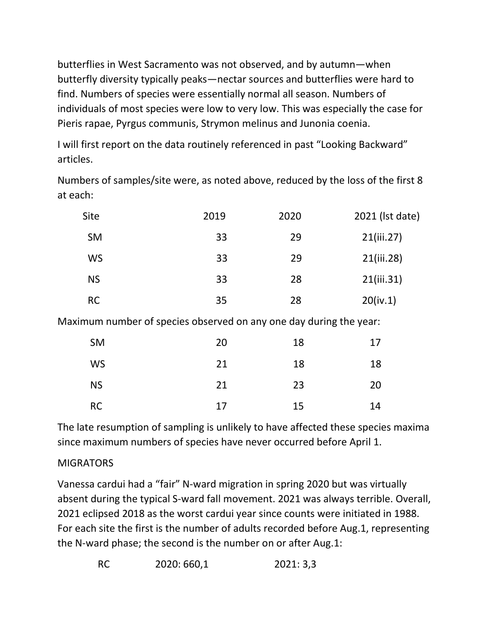butterflies in West Sacramento was not observed, and by autumn—when butterfly diversity typically peaks—nectar sources and butterflies were hard to find. Numbers of species were essentially normal all season. Numbers of individuals of most species were low to very low. This was especially the case for Pieris rapae, Pyrgus communis, Strymon melinus and Junonia coenia.

I will first report on the data routinely referenced in past "Looking Backward" articles.

Numbers of samples/site were, as noted above, reduced by the loss of the first 8 at each:

| Site      | 2019 | 2020 | 2021 (Ist date) |
|-----------|------|------|-----------------|
| <b>SM</b> | 33   | 29   | 21(iii.27)      |
| <b>WS</b> | 33   | 29   | 21(iii.28)      |
| <b>NS</b> | 33   | 28   | 21(iii.31)      |
| <b>RC</b> | 35   | 28   | 20(iv.1)        |

Maximum number of species observed on any one day during the year:

| <b>SM</b> | 20 | 18 | 17 |
|-----------|----|----|----|
| <b>WS</b> | 21 | 18 | 18 |
| <b>NS</b> | 21 | 23 | 20 |
| <b>RC</b> | 17 | 15 | 14 |

The late resumption of sampling is unlikely to have affected these species maxima since maximum numbers of species have never occurred before April 1.

## MIGRATORS

Vanessa cardui had a "fair" N-ward migration in spring 2020 but was virtually absent during the typical S-ward fall movement. 2021 was always terrible. Overall, 2021 eclipsed 2018 as the worst cardui year since counts were initiated in 1988. For each site the first is the number of adults recorded before Aug.1, representing the N-ward phase; the second is the number on or after Aug.1: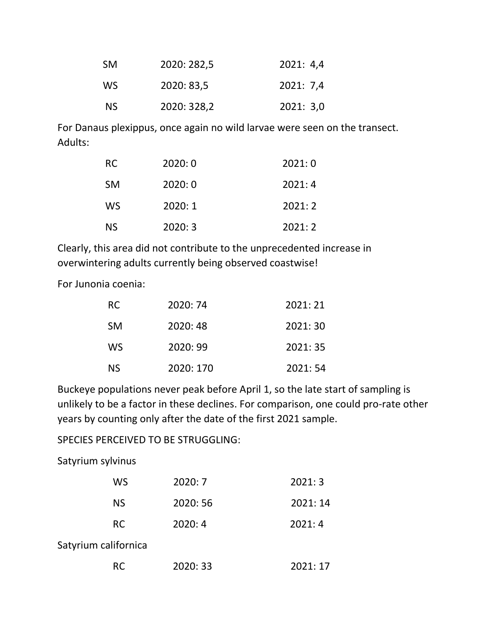| <b>SM</b> | 2020: 282,5 | 2021: 4,4 |
|-----------|-------------|-----------|
| WS.       | 2020: 83,5  | 2021: 7,4 |
| NS.       | 2020: 328,2 | 2021: 3,0 |

For Danaus plexippus, once again no wild larvae were seen on the transect. Adults:

| RC        | 2020:0 | 2021:0 |
|-----------|--------|--------|
| <b>SM</b> | 2020:0 | 2021:4 |
| WS.       | 2020:1 | 2021:2 |
| ΝS        | 2020:3 | 2021:2 |

Clearly, this area did not contribute to the unprecedented increase in overwintering adults currently being observed coastwise!

For Junonia coenia:

| RC.       | 2020: 74  | 2021:21  |
|-----------|-----------|----------|
| <b>SM</b> | 2020:48   | 2021: 30 |
| WS        | 2020: 99  | 2021:35  |
| <b>NS</b> | 2020: 170 | 2021:54  |

Buckeye populations never peak before April 1, so the late start of sampling is unlikely to be a factor in these declines. For comparison, one could pro-rate other years by counting only after the date of the first 2021 sample.

SPECIES PERCEIVED TO BE STRUGGLING:

Satyrium sylvinus

| WS                   | 2020:7   | 2021:3   |
|----------------------|----------|----------|
| <b>NS</b>            | 2020: 56 | 2021: 14 |
| <b>RC</b>            | 2020:4   | 2021:4   |
| Satyrium californica |          |          |
| RC.                  | 2020: 33 | 2021:17  |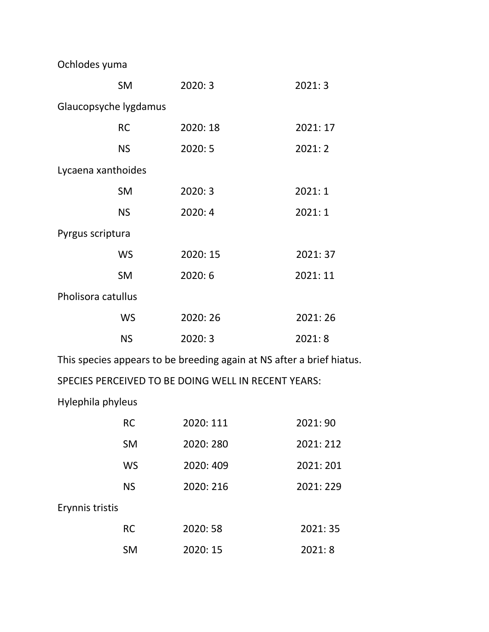Ochlodes yuma

|                       | <b>SM</b> | 2020:3   | 2021:3   |  |
|-----------------------|-----------|----------|----------|--|
| Glaucopsyche lygdamus |           |          |          |  |
|                       | <b>RC</b> | 2020: 18 | 2021: 17 |  |
|                       | <b>NS</b> | 2020:5   | 2021:2   |  |
| Lycaena xanthoides    |           |          |          |  |
|                       | <b>SM</b> | 2020:3   | 2021:1   |  |
|                       | <b>NS</b> | 2020:4   | 2021:1   |  |
| Pyrgus scriptura      |           |          |          |  |
|                       | <b>WS</b> | 2020: 15 | 2021:37  |  |
|                       | <b>SM</b> | 2020:6   | 2021:11  |  |
| Pholisora catullus    |           |          |          |  |
|                       | <b>WS</b> | 2020:26  | 2021:26  |  |
|                       | <b>NS</b> | 2020:3   | 2021:8   |  |
|                       |           |          |          |  |

This species appears to be breeding again at NS after a brief hiatus.

SPECIES PERCEIVED TO BE DOING WELL IN RECENT YEARS:

Hylephila phyleus

|                 | <b>RC</b> | 2020: 111 | 2021:90   |
|-----------------|-----------|-----------|-----------|
|                 | <b>SM</b> | 2020: 280 | 2021: 212 |
|                 | WS        | 2020: 409 | 2021: 201 |
|                 | <b>NS</b> | 2020: 216 | 2021:229  |
| Erynnis tristis |           |           |           |
|                 | <b>RC</b> | 2020:58   | 2021:35   |
|                 | <b>SM</b> | 2020: 15  | 2021:8    |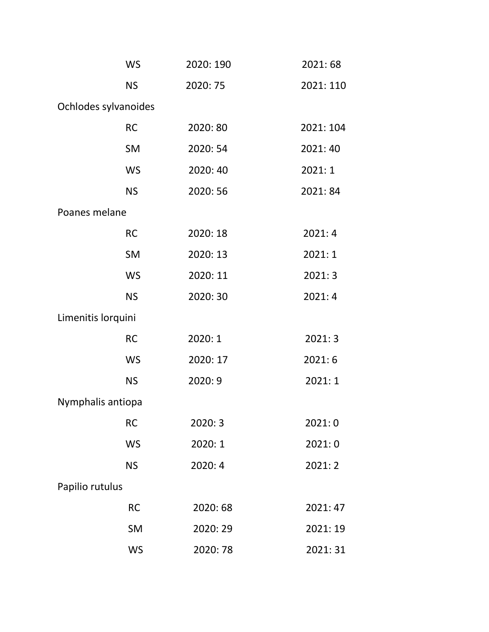|                      | <b>WS</b> | 2020: 190 | 2021:68   |
|----------------------|-----------|-----------|-----------|
|                      | <b>NS</b> | 2020: 75  | 2021: 110 |
| Ochlodes sylvanoides |           |           |           |
|                      | <b>RC</b> | 2020: 80  | 2021: 104 |
|                      | <b>SM</b> | 2020: 54  | 2021: 40  |
|                      | <b>WS</b> | 2020:40   | 2021:1    |
|                      | <b>NS</b> | 2020: 56  | 2021:84   |
| Poanes melane        |           |           |           |
|                      | <b>RC</b> | 2020: 18  | 2021:4    |
|                      | <b>SM</b> | 2020: 13  | 2021:1    |
|                      | <b>WS</b> | 2020: 11  | 2021:3    |
|                      | <b>NS</b> | 2020:30   | 2021:4    |
| Limenitis lorquini   |           |           |           |
|                      | <b>RC</b> | 2020: 1   | 2021:3    |
|                      | <b>WS</b> | 2020: 17  | 2021:6    |
|                      | <b>NS</b> | 2020:9    | 2021:1    |
| Nymphalis antiopa    |           |           |           |
|                      | <b>RC</b> | 2020:3    | 2021:0    |
|                      | <b>WS</b> | 2020: 1   | 2021:0    |
|                      | <b>NS</b> | 2020:4    | 2021:2    |
| Papilio rutulus      |           |           |           |
|                      | <b>RC</b> | 2020: 68  | 2021: 47  |
|                      | <b>SM</b> | 2020:29   | 2021: 19  |
|                      | <b>WS</b> | 2020:78   | 2021:31   |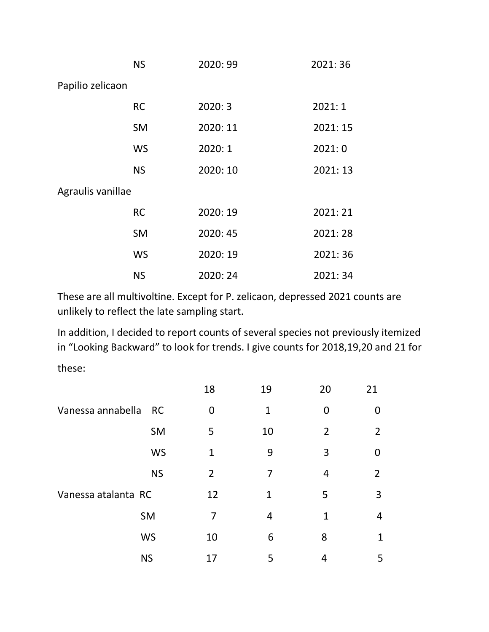|                   | <b>NS</b> | 2020:99  | 2021:36  |
|-------------------|-----------|----------|----------|
| Papilio zelicaon  |           |          |          |
|                   | <b>RC</b> | 2020:3   | 2021:1   |
|                   | <b>SM</b> | 2020: 11 | 2021: 15 |
|                   | WS        | 2020: 1  | 2021:0   |
|                   | <b>NS</b> | 2020: 10 | 2021: 13 |
| Agraulis vanillae |           |          |          |
|                   | <b>RC</b> | 2020: 19 | 2021:21  |
|                   | <b>SM</b> | 2020: 45 | 2021:28  |
|                   | WS        | 2020: 19 | 2021:36  |
|                   | <b>NS</b> | 2020:24  | 2021:34  |

These are all multivoltine. Except for P. zelicaon, depressed 2021 counts are unlikely to reflect the late sampling start.

In addition, I decided to report counts of several species not previously itemized in "Looking Backward" to look for trends. I give counts for 2018,19,20 and 21 for these:

|                     |           | 18             | 19           | 20             | 21             |
|---------------------|-----------|----------------|--------------|----------------|----------------|
| Vanessa annabella   | <b>RC</b> | 0              | 1            | $\Omega$       | O              |
|                     | SM        | 5              | 10           | $\overline{2}$ | $\overline{2}$ |
|                     | <b>WS</b> | 1              | 9            | 3              | O              |
|                     | <b>NS</b> | $\overline{2}$ | 7            | 4              | $\overline{2}$ |
| Vanessa atalanta RC |           | 12             | $\mathbf{1}$ | 5              | 3              |
|                     | SM        | 7              | 4            | 1              | 4              |
|                     | <b>WS</b> | 10             | 6            | 8              | 1              |
|                     | <b>NS</b> | 17             | 5            | 4              | 5              |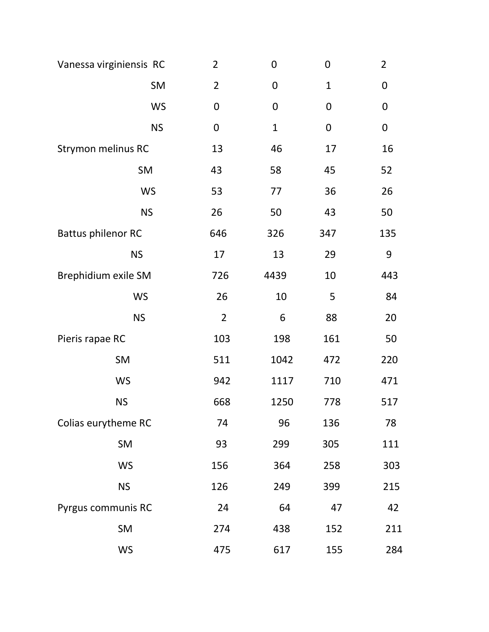| Vanessa virginiensis RC   | $\overline{2}$ | $\mathbf 0$      | $\mathbf 0$  | $\overline{2}$ |
|---------------------------|----------------|------------------|--------------|----------------|
| SM                        | $\overline{2}$ | $\boldsymbol{0}$ | $\mathbf{1}$ | $\mathbf 0$    |
| <b>WS</b>                 | $\mathbf 0$    | $\boldsymbol{0}$ | $\mathbf 0$  | $\mathbf 0$    |
| <b>NS</b>                 | $\mathbf 0$    | $\mathbf{1}$     | $\mathbf 0$  | $\mathbf 0$    |
| <b>Strymon melinus RC</b> | 13             | 46               | 17           | 16             |
| SM                        | 43             | 58               | 45           | 52             |
| <b>WS</b>                 | 53             | 77               | 36           | 26             |
| <b>NS</b>                 | 26             | 50               | 43           | 50             |
| <b>Battus philenor RC</b> | 646            | 326              | 347          | 135            |
| <b>NS</b>                 | 17             | 13               | 29           | 9              |
| Brephidium exile SM       | 726            | 4439             | 10           | 443            |
| <b>WS</b>                 | 26             | 10               | 5            | 84             |
| <b>NS</b>                 | $\overline{2}$ | 6                | 88           | 20             |
| Pieris rapae RC           | 103            | 198              | 161          | 50             |
| SM                        | 511            | 1042             | 472          | 220            |
| <b>WS</b>                 | 942            | 1117             | 710          | 471            |
| <b>NS</b>                 | 668            | 1250             | 778          | 517            |
| Colias eurytheme RC       | 74             | 96               | 136          | 78             |
| SM                        | 93             | 299              | 305          | 111            |
| <b>WS</b>                 | 156            | 364              | 258          | 303            |
| <b>NS</b>                 | 126            | 249              | 399          | 215            |
| Pyrgus communis RC        | 24             | 64               | 47           | 42             |
| SM                        | 274            | 438              | 152          | 211            |
| <b>WS</b>                 | 475            | 617              | 155          | 284            |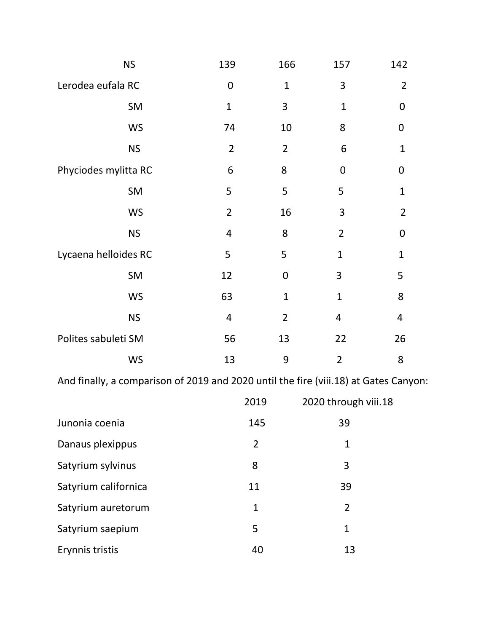| <b>NS</b>            | 139            | 166            | 157             | 142            |
|----------------------|----------------|----------------|-----------------|----------------|
| Lerodea eufala RC    | $\mathbf 0$    | $\mathbf 1$    | 3               | $\overline{2}$ |
| SM                   | $\mathbf{1}$   | 3              | $\mathbf{1}$    | 0              |
| <b>WS</b>            | 74             | 10             | 8               | $\mathbf 0$    |
| <b>NS</b>            | $\overline{2}$ | $\overline{2}$ | $6\phantom{1}6$ | $\mathbf{1}$   |
| Phyciodes mylitta RC | 6              | 8              | 0               | 0              |
| SM                   | 5              | 5              | 5               | $\mathbf 1$    |
| <b>WS</b>            | $\overline{2}$ | 16             | 3               | $\overline{2}$ |
| <b>NS</b>            | 4              | 8              | $\overline{2}$  | $\mathbf 0$    |
| Lycaena helloides RC | 5              | 5              | $\mathbf 1$     | $\overline{1}$ |
| SM                   | 12             | $\mathbf 0$    | 3               | 5              |
| <b>WS</b>            | 63             | $\mathbf{1}$   | $\mathbf{1}$    | 8              |
| <b>NS</b>            | 4              | $\overline{2}$ | $\overline{4}$  | 4              |
| Polites sabuleti SM  | 56             | 13             | 22              | 26             |
| <b>WS</b>            | 13             | 9              | $\overline{2}$  | 8              |

And finally, a comparison of 2019 and 2020 until the fire (viii.18) at Gates Canyon:

|                      | 2019 | 2020 through viii.18 |
|----------------------|------|----------------------|
| Junonia coenia       | 145  | 39                   |
| Danaus plexippus     | 2    | 1                    |
| Satyrium sylvinus    | 8    | 3                    |
| Satyrium californica | 11   | 39                   |
| Satyrium auretorum   | 1    | $\overline{2}$       |
| Satyrium saepium     | 5    | 1                    |
| Erynnis tristis      | 40   | 13                   |